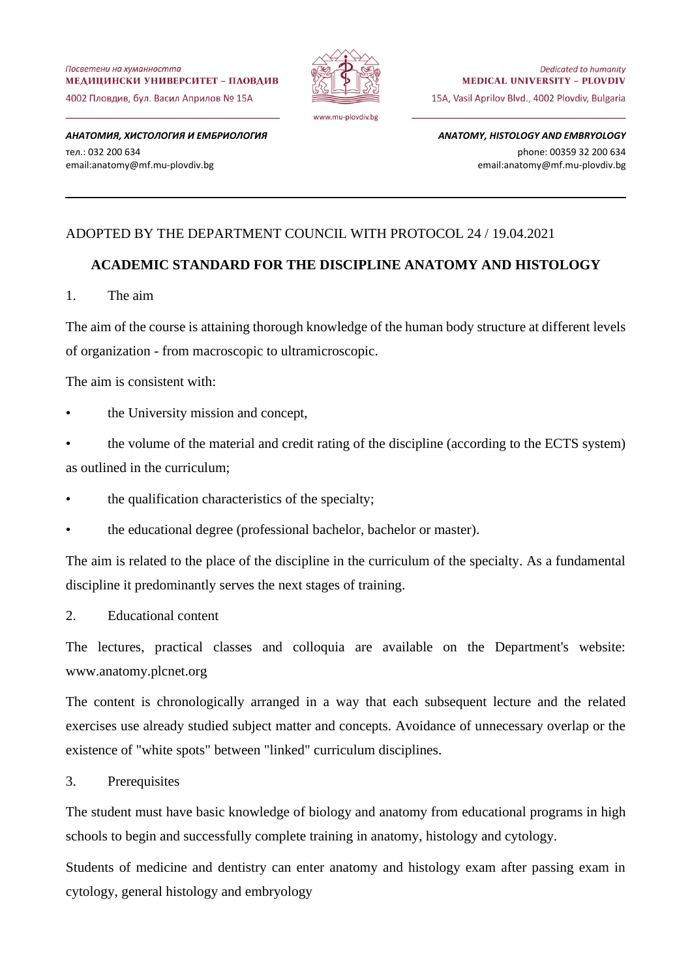Посветени на хуманността МЕДИЦИНСКИ УНИВЕРСИТЕТ - ПЛОВДИВ 4002 Пловдив. бул. Васил Априлов № 15А



*АНАТОМИЯ, ХИСТОЛОГИЯ И ЕМБРИОЛОГИЯ* тел.: 032 200 634 email:anatomy@mf.mu-plovdiv.bg

*ANATOMY, HISTOLOGY AND EMBRYOLOGY* phone: 00359 32 200 634 email:anatomy@mf.mu-plovdiv.bg

# ADOPTED BY THE DEPARTMENT COUNCIL WITH PROTOCOL 24 / 19.04.2021

## **ACADEMIC STANDARD FOR THE DISCIPLINE ANATOMY AND HISTOLOGY**

1. The aim

The aim of the course is attaining thorough knowledge of the human body structure at different levels of organization - from macroscopic to ultramicroscopic.

The aim is consistent with:

the University mission and concept,

• the volume of the material and credit rating of the discipline (according to the ECTS system) as outlined in the curriculum;

- the qualification characteristics of the specialty;
- the educational degree (professional bachelor, bachelor or master).

The aim is related to the place of the discipline in the curriculum of the specialty. As a fundamental discipline it predominantly serves the next stages of training.

2. Educational content

The lectures, practical classes and colloquia are available on the Department's website: www.anatomy.plcnet.org

The content is chronologically arranged in a way that each subsequent lecture and the related exercises use already studied subject matter and concepts. Avoidance of unnecessary overlap or the existence of "white spots" between "linked" curriculum disciplines.

3. Prerequisites

The student must have basic knowledge of biology and anatomy from educational programs in high schools to begin and successfully complete training in anatomy, histology and cytology.

Students of medicine and dentistry can enter anatomy and histology exam after passing exam in cytology, general histology and embryology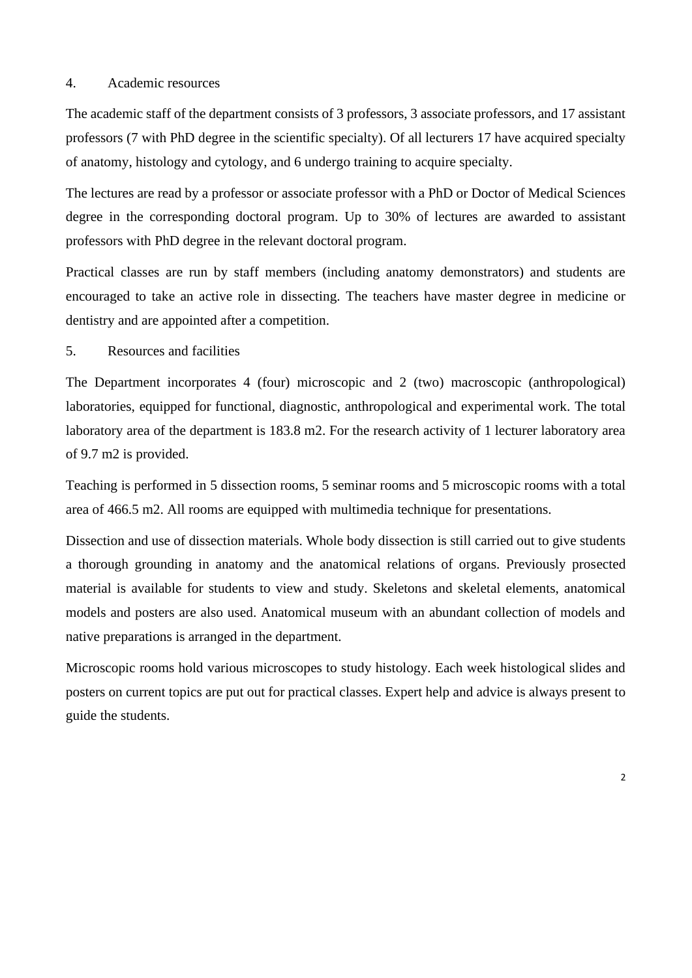## 4. Academic resources

The academic staff of the department consists of 3 professors, 3 associate professors, and 17 assistant professors (7 with PhD degree in the scientific specialty). Of all lecturers 17 have acquired specialty of anatomy, histology and cytology, and 6 undergo training to acquire specialty.

The lectures are read by a professor or associate professor with a PhD or Doctor of Medical Sciences degree in the corresponding doctoral program. Up to 30% of lectures are awarded to assistant professors with PhD degree in the relevant doctoral program.

Practical classes are run by staff members (including anatomy demonstrators) and students are encouraged to take an active role in dissecting. The teachers have master degree in medicine or dentistry and are appointed after a competition.

# 5. Resources and facilities

The Department incorporates 4 (four) microscopic and 2 (two) macroscopic (anthropological) laboratories, equipped for functional, diagnostic, anthropological and experimental work. The total laboratory area of the department is 183.8 m2. For the research activity of 1 lecturer laboratory area of 9.7 m2 is provided.

Teaching is performed in 5 dissection rooms, 5 seminar rooms and 5 microscopic rooms with a total area of 466.5 m2. All rooms are equipped with multimedia technique for presentations.

Dissection and use of dissection materials. Whole body dissection is still carried out to give students a thorough grounding in anatomy and the anatomical relations of organs. Previously prosected material is available for students to view and study. Skeletons and skeletal elements, anatomical models and posters are also used. Anatomical museum with an abundant collection of models and native preparations is arranged in the department.

Microscopic rooms hold various microscopes to study histology. Each week histological slides and posters on current topics are put out for practical classes. Expert help and advice is always present to guide the students.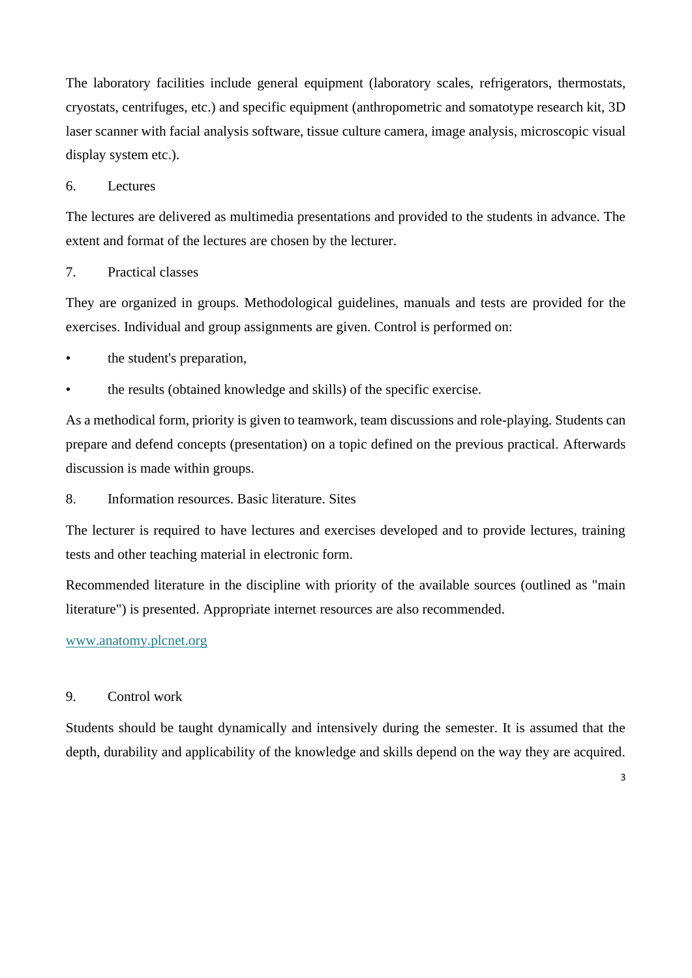The laboratory facilities include general equipment (laboratory scales, refrigerators, thermostats, cryostats, centrifuges, etc.) and specific equipment (anthropometric and somatotype research kit, 3D laser scanner with facial analysis software, tissue culture camera, image analysis, microscopic visual display system etc.).

## 6. Lectures

The lectures are delivered as multimedia presentations and provided to the students in advance. The extent and format of the lectures are chosen by the lecturer.

#### 7. Practical classes

They are organized in groups. Methodological guidelines, manuals and tests are provided for the exercises. Individual and group assignments are given. Control is performed on:

- the student's preparation,
- the results (obtained knowledge and skills) of the specific exercise.

As a methodical form, priority is given to teamwork, team discussions and role-playing. Students can prepare and defend concepts (presentation) on a topic defined on the previous practical. Afterwards discussion is made within groups.

8. Information resources. Basic literature. Sites

The lecturer is required to have lectures and exercises developed and to provide lectures, training tests and other teaching material in electronic form.

Recommended literature in the discipline with priority of the available sources (outlined as "main literature") is presented. Appropriate internet resources are also recommended.

#### [www.anatomy.plcnet.org](http://www.anatomy.plcnet.org/)

## 9. Control work

Students should be taught dynamically and intensively during the semester. It is assumed that the depth, durability and applicability of the knowledge and skills depend on the way they are acquired.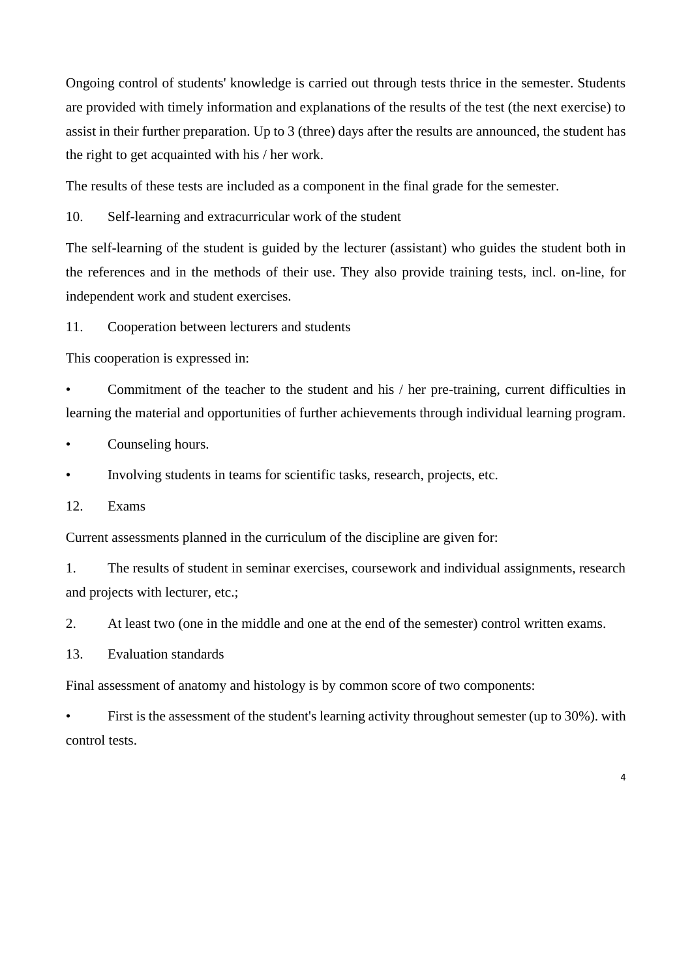Ongoing control of students' knowledge is carried out through tests thrice in the semester. Students are provided with timely information and explanations of the results of the test (the next exercise) to assist in their further preparation. Up to 3 (three) days after the results are announced, the student has the right to get acquainted with his / her work.

The results of these tests are included as a component in the final grade for the semester.

10. Self-learning and extracurricular work of the student

The self-learning of the student is guided by the lecturer (assistant) who guides the student both in the references and in the methods of their use. They also provide training tests, incl. on-line, for independent work and student exercises.

11. Cooperation between lecturers and students

This cooperation is expressed in:

• Commitment of the teacher to the student and his / her pre-training, current difficulties in learning the material and opportunities of further achievements through individual learning program.

Counseling hours.

• Involving students in teams for scientific tasks, research, projects, etc.

12. Exams

Current assessments planned in the curriculum of the discipline are given for:

1. The results of student in seminar exercises, coursework and individual assignments, research and projects with lecturer, etc.;

2. At least two (one in the middle and one at the end of the semester) control written exams.

13. Evaluation standards

Final assessment of anatomy and histology is by common score of two components:

• First is the assessment of the student's learning activity throughout semester (up to 30%). with control tests.

4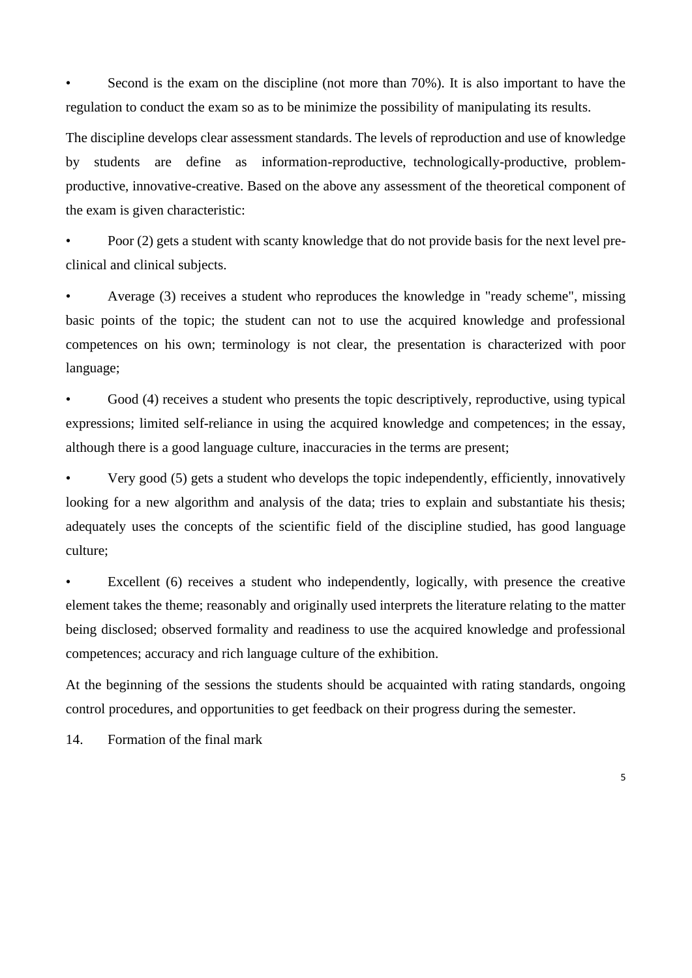Second is the exam on the discipline (not more than 70%). It is also important to have the regulation to conduct the exam so as to be minimize the possibility of manipulating its results.

The discipline develops clear assessment standards. The levels of reproduction and use of knowledge by students are define as information-reproductive, technologically-productive, problemproductive, innovative-creative. Based on the above any assessment of the theoretical component of the exam is given characteristic:

• Poor (2) gets a student with scanty knowledge that do not provide basis for the next level preclinical and clinical subjects.

• Average (3) receives a student who reproduces the knowledge in "ready scheme", missing basic points of the topic; the student can not to use the acquired knowledge and professional competences on his own; terminology is not clear, the presentation is characterized with poor language;

Good (4) receives a student who presents the topic descriptively, reproductive, using typical expressions; limited self-reliance in using the acquired knowledge and competences; in the essay, although there is a good language culture, inaccuracies in the terms are present;

• Very good (5) gets a student who develops the topic independently, efficiently, innovatively looking for a new algorithm and analysis of the data; tries to explain and substantiate his thesis; adequately uses the concepts of the scientific field of the discipline studied, has good language culture;

Excellent (6) receives a student who independently, logically, with presence the creative element takes the theme; reasonably and originally used interprets the literature relating to the matter being disclosed; observed formality and readiness to use the acquired knowledge and professional competences; accuracy and rich language culture of the exhibition.

At the beginning of the sessions the students should be acquainted with rating standards, ongoing control procedures, and opportunities to get feedback on their progress during the semester.

14. Formation of the final mark

5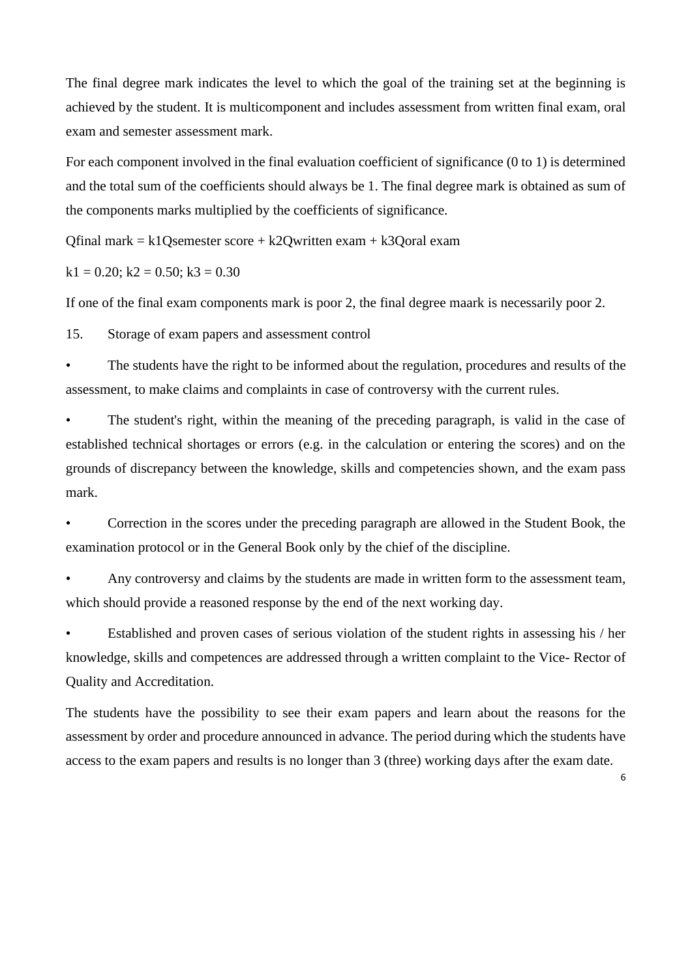The final degree mark indicates the level to which the goal of the training set at the beginning is achieved by the student. It is multicomponent and includes assessment from written final exam, oral exam and semester assessment mark.

For each component involved in the final evaluation coefficient of significance (0 to 1) is determined and the total sum of the coefficients should always be 1. The final degree mark is obtained as sum of the components marks multiplied by the coefficients of significance.

 $Ofinal$  mark = k1 $O$ semester score + k2 $O$ written exam + k3 $O$ oral exam

 $k1 = 0.20$ ;  $k2 = 0.50$ ;  $k3 = 0.30$ 

If one of the final exam components mark is poor 2, the final degree maark is necessarily poor 2.

15. Storage of exam papers and assessment control

• The students have the right to be informed about the regulation, procedures and results of the assessment, to make claims and complaints in case of controversy with the current rules.

• The student's right, within the meaning of the preceding paragraph, is valid in the case of established technical shortages or errors (e.g. in the calculation or entering the scores) and on the grounds of discrepancy between the knowledge, skills and competencies shown, and the exam pass mark.

• Correction in the scores under the preceding paragraph are allowed in the Student Book, the examination protocol or in the General Book only by the chief of the discipline.

Any controversy and claims by the students are made in written form to the assessment team, which should provide a reasoned response by the end of the next working day.

• Established and proven cases of serious violation of the student rights in assessing his / her knowledge, skills and competences are addressed through a written complaint to the Vice- Rector of Quality and Accreditation.

The students have the possibility to see their exam papers and learn about the reasons for the assessment by order and procedure announced in advance. The period during which the students have access to the exam papers and results is no longer than 3 (three) working days after the exam date.

6